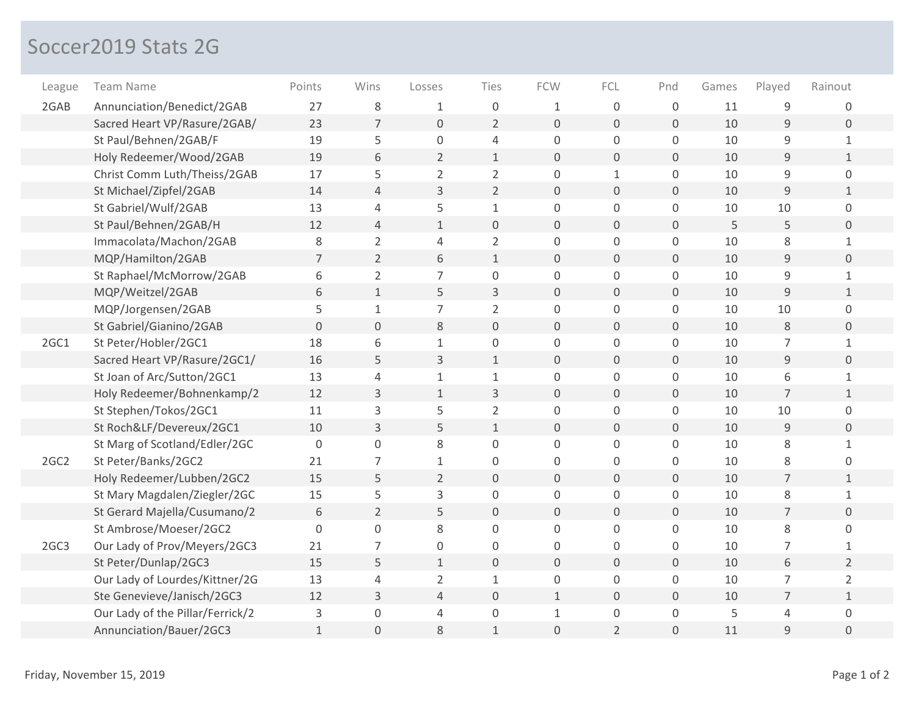## Soccer2019 Stats 2G

| League           | <b>Team Name</b>                 | Points       | Wins           | Losses         | Ties                | <b>FCW</b>          | FCL                 | Pnd          | Games | Played         | Rainout        |
|------------------|----------------------------------|--------------|----------------|----------------|---------------------|---------------------|---------------------|--------------|-------|----------------|----------------|
| 2GAB             | Annunciation/Benedict/2GAB       | 27           | 8              | 1              | 0                   | $\mathbf{1}$        | $\mathsf{O}\xspace$ | $\mathsf 0$  | 11    | 9              | 0              |
|                  | Sacred Heart VP/Rasure/2GAB/     | 23           | 7              | $\overline{0}$ | $\overline{2}$      | $\mathbf 0$         | $\mathbf 0$         | 0            | 10    | $\overline{9}$ | $\mathbf 0$    |
|                  | St Paul/Behnen/2GAB/F            | 19           | 5              | $\mathbf 0$    | 4                   | $\mathbf 0$         | $\mathbf 0$         | $\mathbf 0$  | 10    | 9              | $\mathbf{1}$   |
|                  | Holy Redeemer/Wood/2GAB          | 19           | 6              | $\overline{2}$ | $\mathbf{1}$        | $\mathbf{0}$        | $\overline{0}$      | 0            | 10    | 9              | $\mathbf{1}$   |
|                  | Christ Comm Luth/Theiss/2GAB     | 17           | 5              | $\overline{2}$ | $\overline{2}$      | $\mathsf 0$         | $\mathbf{1}$        | 0            | 10    | 9              | $\mathbf 0$    |
|                  | St Michael/Zipfel/2GAB           | 14           | 4              | 3              | $\overline{2}$      | $\mathbf 0$         | $\mathbf 0$         | 0            | 10    | 9              | $\mathbf{1}$   |
|                  | St Gabriel/Wulf/2GAB             | 13           | 4              | 5              | $\mathbf{1}$        | $\mathbf 0$         | $\mathbf 0$         | $\mathsf{O}$ | 10    | 10             | 0              |
|                  | St Paul/Behnen/2GAB/H            | 12           | 4              | $\mathbf{1}$   | $\mathbf 0$         | $\mathbf 0$         | $\mathbf 0$         | 0            | 5     | 5              | $\overline{0}$ |
|                  | Immacolata/Machon/2GAB           | 8            | $\overline{2}$ | $\overline{4}$ | $\overline{2}$      | 0                   | 0                   | 0            | 10    | 8              | $\mathbf{1}$   |
|                  | MQP/Hamilton/2GAB                | 7            | $\overline{2}$ | 6              | $\mathbf{1}$        | $\mathbf 0$         | $\mathsf{O}\xspace$ | 0            | 10    | $\mathsf 9$    | $\overline{0}$ |
|                  | St Raphael/McMorrow/2GAB         | 6            | $\overline{2}$ | $\overline{7}$ | $\boldsymbol{0}$    | $\mathbf 0$         | $\mathbf 0$         | 0            | 10    | $\mathsf g$    | $\mathbf{1}$   |
|                  | MQP/Weitzel/2GAB                 | 6            | $\mathbf{1}$   | 5              | 3                   | $\mathbf 0$         | $\mathsf{O}\xspace$ | 0            | 10    | $\overline{9}$ | $\mathbf{1}$   |
|                  | MQP/Jorgensen/2GAB               | 5            | $\mathbf{1}$   | $\overline{7}$ | $\overline{2}$      | $\mathbf 0$         | $\mathbf 0$         | 0            | 10    | 10             | $\overline{0}$ |
|                  | St Gabriel/Gianino/2GAB          | $\mathbf 0$  | 0              | 8              | $\mathbf 0$         | $\mathbf 0$         | $\mathsf{O}\xspace$ | 0            | 10    | 8              | $\mathsf{O}$   |
| 2GC1             | St Peter/Hobler/2GC1             | 18           | 6              | $\mathbf{1}$   | $\mathsf{O}\xspace$ | $\mathbf 0$         | $\mathsf{O}$        | 0            | 10    | $\overline{7}$ | $\mathbf{1}$   |
|                  | Sacred Heart VP/Rasure/2GC1/     | 16           | 5              | 3              | $\mathbf{1}$        | $\mathbf 0$         | $\mathsf{O}\xspace$ | 0            | 10    | $\mathsf 9$    | $\overline{0}$ |
|                  | St Joan of Arc/Sutton/2GC1       | 13           | 4              | $\mathbf{1}$   | $\mathbf 1$         | $\mathbf 0$         | $\mathbf 0$         | 0            | 10    | 6              | $\mathbf 1$    |
|                  | Holy Redeemer/Bohnenkamp/2       | 12           | 3              | $1\,$          | 3                   | $\mathsf{O}\xspace$ | $\mathbf 0$         | 0            | 10    | $\overline{7}$ | $\mathbf{1}$   |
|                  | St Stephen/Tokos/2GC1            | 11           | 3              | 5              | $\overline{2}$      | $\mathsf{O}\xspace$ | $\mathbf 0$         | 0            | 10    | 10             | 0              |
|                  | St Roch&LF/Devereux/2GC1         | 10           | 3              | 5              | $\mathbf{1}$        | $\mathbf{0}$        | $\mathbf{O}$        | 0            | 10    | 9              | $\overline{0}$ |
|                  | St Marg of Scotland/Edler/2GC    | $\mathbf 0$  | 0              | 8              | 0                   | $\mathbf 0$         | $\Omega$            | 0            | 10    | 8              | $\mathbf{1}$   |
| 2GC <sub>2</sub> | St Peter/Banks/2GC2              | 21           | 7              | 1              | 0                   | $\Omega$            | $\Omega$            | 0            | 10    | 8              | 0              |
|                  | Holy Redeemer/Lubben/2GC2        | 15           | 5              | $\overline{2}$ | $\mathbf 0$         | $\mathbf 0$         | $\overline{0}$      | 0            | 10    | $\overline{7}$ | $\mathbf{1}$   |
|                  | St Mary Magdalen/Ziegler/2GC     | 15           | 5              | 3              | 0                   | 0                   | 0                   | 0            | 10    | 8              | $\mathbf{1}$   |
|                  | St Gerard Majella/Cusumano/2     | 6            | $\overline{2}$ | 5              | $\mathsf{O}\xspace$ | $\mathbf 0$         | $\overline{0}$      | 0            | 10    | $\overline{7}$ | $\mathbf 0$    |
|                  | St Ambrose/Moeser/2GC2           | $\mathbf 0$  | 0              | 8              | 0                   | $\overline{0}$      | $\Omega$            | 0            | 10    | 8              | $\Omega$       |
| 2GC3             | Our Lady of Prov/Meyers/2GC3     | 21           | 7              | 0              | 0                   | 0                   | 0                   | 0            | 10    | 7              | 1              |
|                  | St Peter/Dunlap/2GC3             | 15           | 5              | $\mathbf{1}$   | $\mathbf 0$         | $\mathbf 0$         | $\mathbf{O}$        | 0            | 10    | 6              | $\overline{2}$ |
|                  | Our Lady of Lourdes/Kittner/2G   | 13           | 4              | $\overline{2}$ | $\mathbf 1$         | $\mathbf 0$         | $\mathbf 0$         | 0            | 10    | $\overline{7}$ | $\overline{2}$ |
|                  | Ste Genevieve/Janisch/2GC3       | 12           | 3              | 4              | $\mathbf 0$         | $\mathbf{1}$        | $\mathsf{O}\xspace$ | 0            | 10    | $\overline{7}$ | $\mathbf{1}$   |
|                  | Our Lady of the Pillar/Ferrick/2 | 3            | 0              | 4              | $\mathsf{O}\xspace$ | $1\,$               | $\mathsf{O}$        | 0            | 5     | 4              | 0              |
|                  | Annunciation/Bauer/2GC3          | $\mathbf{1}$ | $\mathbf 0$    | 8              | $\mathbf 1$         | $\overline{0}$      | $\overline{2}$      | 0            | 11    | 9              | $\mathbf 0$    |